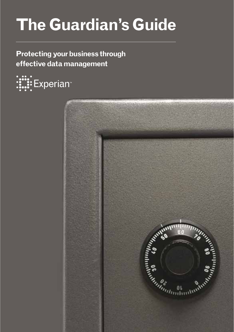# **The Guardian's Guide**

**Protecting your business through effective data management** 



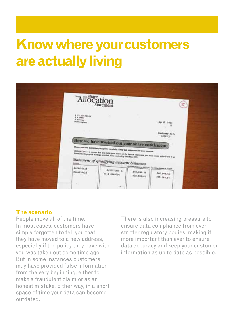## **Know where your customers are actually living**

| "Allocation                                      | Statement                                                                                                                                                                                                                                                                                                                  | $\blacksquare$                                           |                                 | Ξ |
|--------------------------------------------------|----------------------------------------------------------------------------------------------------------------------------------------------------------------------------------------------------------------------------------------------------------------------------------------------------------------------------|----------------------------------------------------------|---------------------------------|---|
| # 41 73124366<br>4 Arenton<br>Muttingham         |                                                                                                                                                                                                                                                                                                                            |                                                          | April 2011<br>а                 |   |
|                                                  | How we have worked out your share entitlement<br>Please read the accompanying gable excutatly. Keep this statement for your records.<br>IMPORTANT) to some that you show your during at the time of successive you must return other Frem A ar<br>Form B to the propositionships provided, to be control by Mile May 1992. |                                                          | <b>Customer Ref:</b><br>4866700 |   |
| Salid Guld                                       | Statement of qualifying account balances                                                                                                                                                                                                                                                                                   | <b>Challing Islams a 2010/04 Conting films at laters</b> |                                 |   |
| Bolid Gold<br><b>JAUTES IN</b><br>$\mathbb{R}^n$ | 2/1277146- 6<br>01 D 2049724<br>٠                                                                                                                                                                                                                                                                                          | 840.046.58<br>228, 906, 81                               | 244.040.41<br>835,268.34        |   |

#### **The scenario**

People move all of the time. In most cases, customers have simply forgotten to tell you that they have moved to a new address, especially if the policy they have with you was taken out some time ago. But in some instances customers may have provided false information from the very beginning, either to make a fraudulent claim or as an honest mistake. Either way, in a short space of time your data can become outdated.

There is also increasing pressure to ensure data compliance from everstricter regulatory bodies, making it more important than ever to ensure data accuracy and keep your customer information as up to date as possible.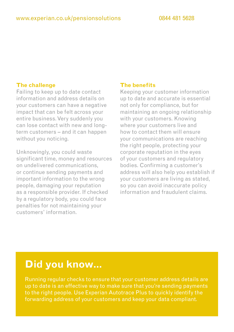Failing to keep up to date contact information and address details on your customers can have a negative impact that can be felt across your entire business. Very suddenly you can lose contact with new and longterm customers – and it can happen without you noticing.

Unknowingly, you could waste significant time, money and resources on undelivered communications, or continue sending payments and important information to the wrong people, damaging your reputation as a responsible provider. If checked by a regulatory body, you could face penalties for not maintaining your customers' information.

#### **The benefits**

Keeping your customer information up to date and accurate is essential not only for compliance, but for maintaining an ongoing relationship with your customers. Knowing where your customers live and how to contact them will ensure your communications are reaching the right people, protecting your corporate reputation in the eyes of your customers and regulatory bodies. Confirming a customer's address will also help you establish if your customers are living as stated, so you can avoid inaccurate policy information and fraudulent claims.

### **Did you know…**

Running regular checks to ensure that your customer address details are up to date is an effective way to make sure that you're sending payments to the right people. Use Experian Autotrace Plus to quickly identify the forwarding address of your customers and keep your data compliant.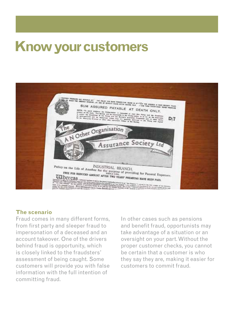### **Know your customers**



#### **The scenario**

Fraud comes in many different forms, from first party and sleeper fraud to impersonation of a deceased and an account takeover. One of the drivers behind fraud is opportunity, which is closely linked to the fraudsters' assessment of being caught. Some customers will provide you with false information with the full intention of committing fraud.

In other cases such as pensions and benefit fraud, opportunists may take advantage of a situation or an oversight on your part. Without the proper customer checks, you cannot be certain that a customer is who they say they are, making it easier for customers to commit fraud.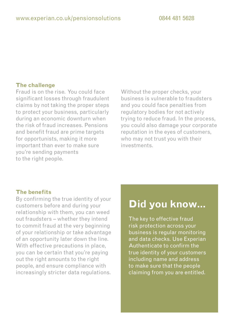Fraud is on the rise. You could face significant losses through fraudulent claims by not taking the proper steps to protect your business, particularly during an economic downturn when the risk of fraud increases. Pensions and benefit fraud are prime targets for opportunists, making it more important than ever to make sure you're sending payments to the right people.

Without the proper checks, your business is vulnerable to fraudsters and you could face penalties from regulatory bodies for not actively trying to reduce fraud. In the process, you could also damage your corporate reputation in the eyes of customers, who may not trust you with their investments.

#### **The benefits**

By confirming the true identity of your customers before and during your relationship with them, you can weed out fraudsters – whether they intend to commit fraud at the very beginning of your relationship or take advantage of an opportunity later down the line. With effective precautions in place. you can be certain that you're paying out the right amounts to the right people, and ensure compliance with increasingly stricter data regulations.

### **Did you know…**

The key to effective fraud risk protection across your business is regular monitoring and data checks. Use Experian Authenticate to confirm the true identity of your customers including name and address to make sure that the people claiming from you are entitled.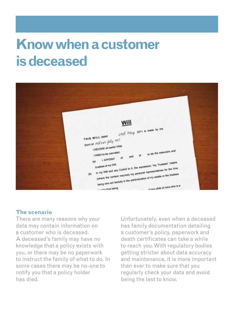## **Know when a customer is deceased**



#### **The scenario**

There are many reasons why your data may contain information on a customer who is deceased. A deceased's family may have no knowledge that a policy exists with you, or there may be no paperwork to instruct the family of what to do. In some cases there may be no-one to notify you that a policy holder has died.

Unfortunately, even when a deceased has family documentation detailing a customer's policy, paperwork and death certificates can take a while to reach you. With regulatory bodies getting stricter about data accuracy and maintenance, it is more important than ever to make sure that you regularly check your data and avoid being the last to know.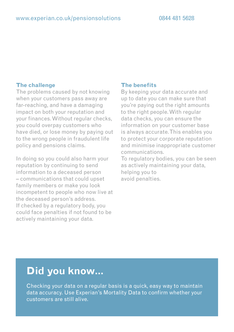The problems caused by not knowing when your customers pass away are far-reaching, and have a damaging impact on both your reputation and your finances. Without regular checks, you could overpay customers who have died, or lose money by paying out to the wrong people in fraudulent life policy and pensions claims.

In doing so you could also harm your reputation by continuing to send information to a deceased person – communications that could upset family members or make you look incompetent to people who now live at the deceased person's address. If checked by a regulatory body, you could face penalties if not found to be actively maintaining your data.

#### **The benefits**

By keeping your data accurate and up to date you can make sure that you're paying out the right amounts to the right people. With regular data checks, you can ensure the information on your customer base is always accurate. This enables you to protect your corporate reputation and minimise inappropriate customer communications.

To regulatory bodies, you can be seen as actively maintaining your data, helping you to avoid penalties.

### **Did you know…**

Checking your data on a regular basis is a quick, easy way to maintain data accuracy. Use Experian's Mortality Data to confirm whether your customers are still alive.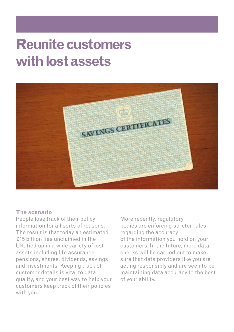## **Reunite customers with lost assets**



#### **The scenario**

People lose track of their policy information for all sorts of reasons. The result is that today an estimated £15 billion lies unclaimed in the UK, tied up in a wide variety of lost assets including life assurance, pensions, shares, dividends, savings and investments. Keeping track of customer details is vital to data quality, and your best way to help your customers keep track of their policies with you.

More recently, regulatory bodies are enforcing stricter rules regarding the accuracy of the information you hold on your customers. In the future, more data checks will be carried out to make sure that data providers like you are acting responsibly and are seen to be maintaining data accuracy to the best of your ability.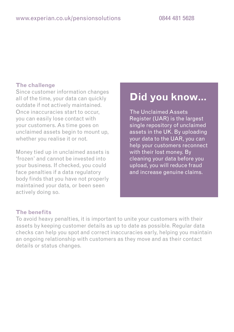Since customer information changes all of the time, your data can quickly outdate if not actively maintained. Once inaccuracies start to occur, you can easily lose contact with your customers. As time goes on unclaimed assets begin to mount up, whether you realise it or not.

Money tied up in unclaimed assets is 'frozen' and cannot be invested into your business. If checked, you could face penalties if a data regulatory body finds that you have not properly maintained your data, or been seen actively doing so.

### **Did you know…**

The Unclaimed Assets Register (UAR) is the largest single repository of unclaimed assets in the UK. By uploading your data to the UAR, you can help your customers reconnect with their lost money. By cleaning your data before you upload, you will reduce fraud and increase genuine claims.

#### **The benefits**

To avoid heavy penalties, it is important to unite your customers with their assets by keeping customer details as up to date as possible. Regular data checks can help you spot and correct inaccuracies early, helping you maintain an ongoing relationship with customers as they move and as their contact details or status changes.